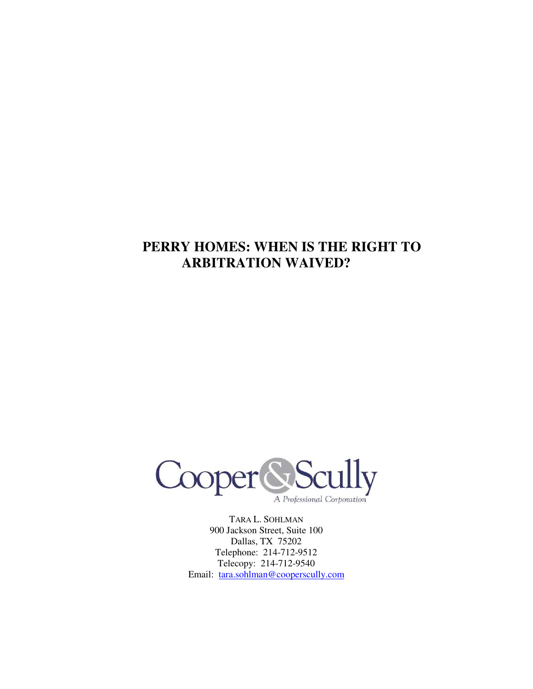# **PERRY HOMES: WHEN IS THE RIGHT TO ARBITRATION WAIVED?**



TARA L. SOHLMAN 900 Jackson Street, Suite 100 Dallas, TX 75202 Telephone: 214-712-9512 Telecopy: 214-712-9540 Email: tara.sohlman@cooperscully.com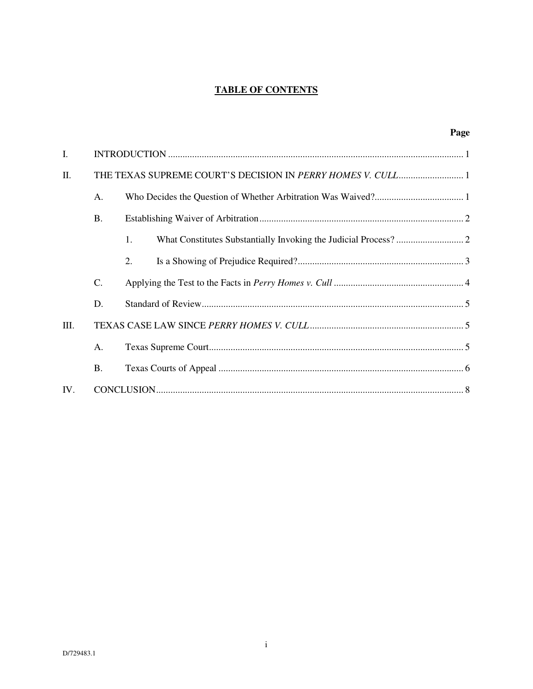# **TABLE OF CONTENTS**

|      |           |    | Page |
|------|-----------|----|------|
| I.   |           |    |      |
| II.  |           |    |      |
|      | A.        |    |      |
|      | <b>B.</b> |    |      |
|      |           | 1. |      |
|      |           | 2. |      |
|      | C.        |    |      |
|      | D.        |    |      |
| III. |           |    |      |
|      | A.        |    |      |
|      | <b>B.</b> |    |      |
| IV.  |           |    |      |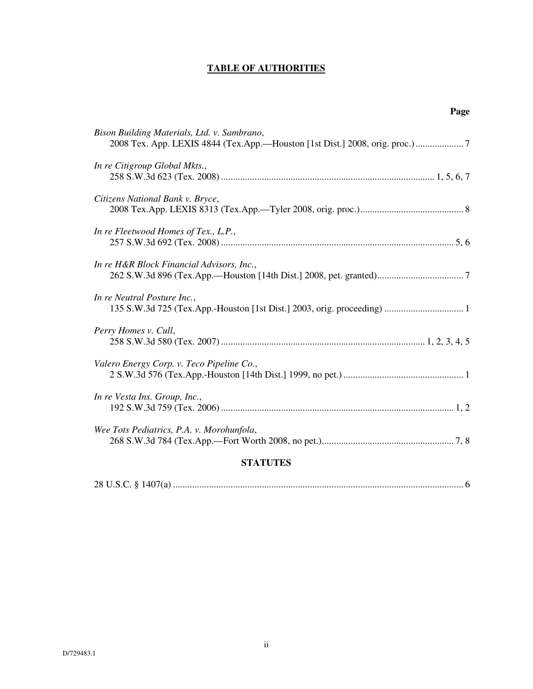# **TABLE OF AUTHORITIES**

| Page                                                                                                                       |
|----------------------------------------------------------------------------------------------------------------------------|
| Bison Building Materials, Ltd. v. Sambrano,<br>2008 Tex. App. LEXIS 4844 (Tex.App.-Houston [1st Dist.] 2008, orig. proc.)7 |
| In re Citigroup Global Mkts.,                                                                                              |
| Citizens National Bank v. Bryce,                                                                                           |
| In re Fleetwood Homes of Tex., L.P.,                                                                                       |
| In re H&R Block Financial Advisors, Inc.,                                                                                  |
| In re Neutral Posture Inc.,                                                                                                |
| Perry Homes v. Cull,                                                                                                       |
| Valero Energy Corp. v. Teco Pipeline Co.,                                                                                  |
| In re Vesta Ins. Group, Inc.,                                                                                              |
| Wee Tots Pediatrics, P.A. v. Morohunfola,                                                                                  |
| $C$ $\mathbf{m}$ $\mathbf{r}$ $\mathbf{m}$ $\mathbf{r}$ $\mathbf{r}$ $\mathbf{m}$ $\mathbf{r}$ $\mathbf{r}$ $\mathbf{r}$   |

#### **STATUTES**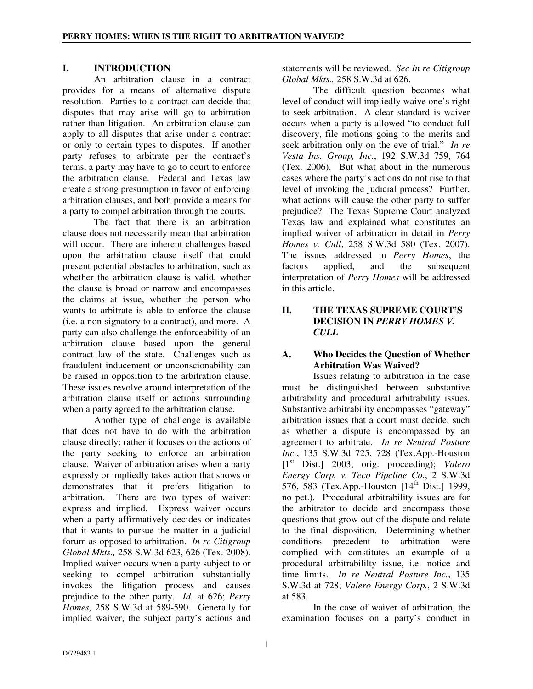## **I. INTRODUCTION**

An arbitration clause in a contract provides for a means of alternative dispute resolution. Parties to a contract can decide that disputes that may arise will go to arbitration rather than litigation. An arbitration clause can apply to all disputes that arise under a contract or only to certain types to disputes. If another party refuses to arbitrate per the contract's terms, a party may have to go to court to enforce the arbitration clause. Federal and Texas law create a strong presumption in favor of enforcing arbitration clauses, and both provide a means for a party to compel arbitration through the courts.

The fact that there is an arbitration clause does not necessarily mean that arbitration will occur. There are inherent challenges based upon the arbitration clause itself that could present potential obstacles to arbitration, such as whether the arbitration clause is valid, whether the clause is broad or narrow and encompasses the claims at issue, whether the person who wants to arbitrate is able to enforce the clause (i.e. a non-signatory to a contract), and more. A party can also challenge the enforceability of an arbitration clause based upon the general contract law of the state. Challenges such as fraudulent inducement or unconscionability can be raised in opposition to the arbitration clause. These issues revolve around interpretation of the arbitration clause itself or actions surrounding when a party agreed to the arbitration clause.

Another type of challenge is available that does not have to do with the arbitration clause directly; rather it focuses on the actions of the party seeking to enforce an arbitration clause. Waiver of arbitration arises when a party expressly or impliedly takes action that shows or demonstrates that it prefers litigation to arbitration. There are two types of waiver: express and implied. Express waiver occurs when a party affirmatively decides or indicates that it wants to pursue the matter in a judicial forum as opposed to arbitration. *In re Citigroup Global Mkts.,* 258 S.W.3d 623, 626 (Tex. 2008). Implied waiver occurs when a party subject to or seeking to compel arbitration substantially invokes the litigation process and causes prejudice to the other party. *Id.* at 626; *Perry Homes,* 258 S.W.3d at 589-590. Generally for implied waiver, the subject party's actions and

statements will be reviewed. *See In re Citigroup Global Mkts.,* 258 S.W.3d at 626.

The difficult question becomes what level of conduct will impliedly waive one's right to seek arbitration. A clear standard is waiver occurs when a party is allowed "to conduct full discovery, file motions going to the merits and seek arbitration only on the eve of trial." *In re Vesta Ins. Group, Inc.*, 192 S.W.3d 759, 764 (Tex. 2006). But what about in the numerous cases where the party's actions do not rise to that level of invoking the judicial process? Further, what actions will cause the other party to suffer prejudice? The Texas Supreme Court analyzed Texas law and explained what constitutes an implied waiver of arbitration in detail in *Perry Homes v. Cull*, 258 S.W.3d 580 (Tex. 2007). The issues addressed in *Perry Homes*, the factors applied, and the subsequent interpretation of *Perry Homes* will be addressed in this article.

### **II. THE TEXAS SUPREME COURT'S DECISION IN** *PERRY HOMES V. CULL*

## **A. Who Decides the Question of Whether Arbitration Was Waived?**

Issues relating to arbitration in the case must be distinguished between substantive arbitrability and procedural arbitrability issues. Substantive arbitrability encompasses "gateway" arbitration issues that a court must decide, such as whether a dispute is encompassed by an agreement to arbitrate. *In re Neutral Posture Inc.*, 135 S.W.3d 725, 728 (Tex.App.-Houston [1st Dist.] 2003, orig. proceeding); *Valero Energy Corp. v. Teco Pipeline Co.*, 2 S.W.3d 576, 583 (Tex.App.-Houston  $[14^{th}$  Dist.] 1999, no pet.). Procedural arbitrability issues are for the arbitrator to decide and encompass those questions that grow out of the dispute and relate to the final disposition. Determining whether conditions precedent to arbitration were complied with constitutes an example of a procedural arbitrabililty issue, i.e. notice and time limits. *In re Neutral Posture Inc.*, 135 S.W.3d at 728; *Valero Energy Corp.*, 2 S.W.3d at 583.

In the case of waiver of arbitration, the examination focuses on a party's conduct in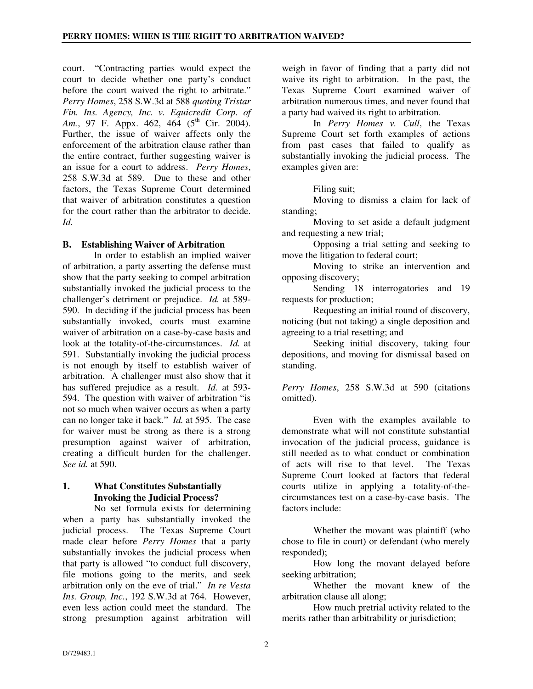court. "Contracting parties would expect the court to decide whether one party's conduct before the court waived the right to arbitrate." *Perry Homes*, 258 S.W.3d at 588 *quoting Tristar Fin. Ins. Agency, Inc. v. Equicredit Corp. of Am.*, 97 F. Appx. 462, 464 (5<sup>th</sup> Cir. 2004). Further, the issue of waiver affects only the enforcement of the arbitration clause rather than the entire contract, further suggesting waiver is an issue for a court to address. *Perry Homes*, 258 S.W.3d at 589. Due to these and other factors, the Texas Supreme Court determined that waiver of arbitration constitutes a question for the court rather than the arbitrator to decide. *Id.* 

### **B. Establishing Waiver of Arbitration**

In order to establish an implied waiver of arbitration, a party asserting the defense must show that the party seeking to compel arbitration substantially invoked the judicial process to the challenger's detriment or prejudice. *Id.* at 589- 590. In deciding if the judicial process has been substantially invoked, courts must examine waiver of arbitration on a case-by-case basis and look at the totality-of-the-circumstances. *Id.* at 591.Substantially invoking the judicial process is not enough by itself to establish waiver of arbitration. A challenger must also show that it has suffered prejudice as a result. *Id.* at 593- 594. The question with waiver of arbitration "is not so much when waiver occurs as when a party can no longer take it back." *Id.* at 595. The case for waiver must be strong as there is a strong presumption against waiver of arbitration, creating a difficult burden for the challenger. *See id.* at 590.

## **1. What Constitutes Substantially Invoking the Judicial Process?**

No set formula exists for determining when a party has substantially invoked the judicial process. The Texas Supreme Court made clear before *Perry Homes* that a party substantially invokes the judicial process when that party is allowed "to conduct full discovery, file motions going to the merits, and seek arbitration only on the eve of trial." *In re Vesta Ins. Group, Inc.*, 192 S.W.3d at 764. However, even less action could meet the standard. The strong presumption against arbitration will

weigh in favor of finding that a party did not waive its right to arbitration. In the past, the Texas Supreme Court examined waiver of arbitration numerous times, and never found that a party had waived its right to arbitration.

In *Perry Homes v. Cull*, the Texas Supreme Court set forth examples of actions from past cases that failed to qualify as substantially invoking the judicial process. The examples given are:

Filing suit;

Moving to dismiss a claim for lack of standing;

Moving to set aside a default judgment and requesting a new trial;

Opposing a trial setting and seeking to move the litigation to federal court;

Moving to strike an intervention and opposing discovery;

Sending 18 interrogatories and 19 requests for production;

Requesting an initial round of discovery, noticing (but not taking) a single deposition and agreeing to a trial resetting; and

Seeking initial discovery, taking four depositions, and moving for dismissal based on standing.

*Perry Homes*, 258 S.W.3d at 590 (citations omitted).

Even with the examples available to demonstrate what will not constitute substantial invocation of the judicial process, guidance is still needed as to what conduct or combination<br>of acts will rise to that level. The Texas of acts will rise to that level. Supreme Court looked at factors that federal courts utilize in applying a totality-of-thecircumstances test on a case-by-case basis. The factors include:

Whether the movant was plaintiff (who chose to file in court) or defendant (who merely responded);

How long the movant delayed before seeking arbitration;

Whether the movant knew of the arbitration clause all along;

How much pretrial activity related to the merits rather than arbitrability or jurisdiction;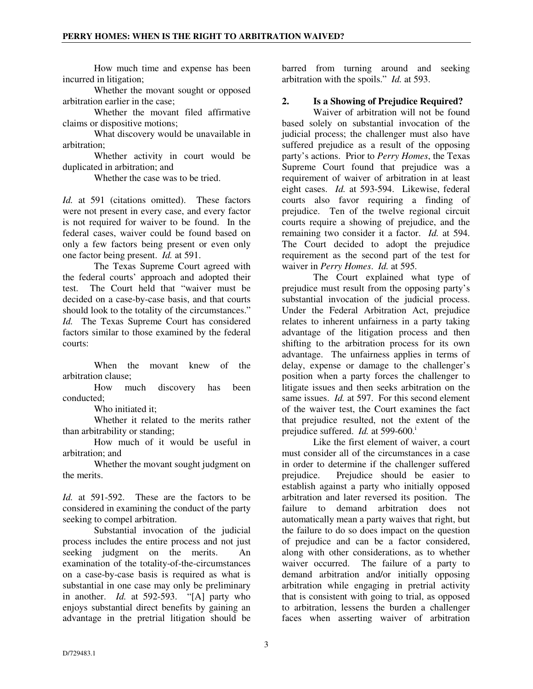How much time and expense has been incurred in litigation;

Whether the movant sought or opposed arbitration earlier in the case;

Whether the movant filed affirmative claims or dispositive motions;

What discovery would be unavailable in arbitration;

Whether activity in court would be duplicated in arbitration; and

Whether the case was to be tried.

*Id.* at 591 (citations omitted). These factors were not present in every case, and every factor is not required for waiver to be found. In the federal cases, waiver could be found based on only a few factors being present or even only one factor being present. *Id.* at 591.

The Texas Supreme Court agreed with the federal courts' approach and adopted their test. The Court held that "waiver must be decided on a case-by-case basis, and that courts should look to the totality of the circumstances." *Id.* The Texas Supreme Court has considered factors similar to those examined by the federal courts:

When the movant knew of the arbitration clause;

How much discovery has been conducted;

Who initiated it;

Whether it related to the merits rather than arbitrability or standing;

How much of it would be useful in arbitration; and

Whether the movant sought judgment on the merits.

*Id.* at 591-592. These are the factors to be considered in examining the conduct of the party seeking to compel arbitration.

Substantial invocation of the judicial process includes the entire process and not just seeking judgment on the merits. An examination of the totality-of-the-circumstances on a case-by-case basis is required as what is substantial in one case may only be preliminary in another. *Id.* at 592-593. "[A] party who enjoys substantial direct benefits by gaining an advantage in the pretrial litigation should be

barred from turning around and seeking arbitration with the spoils." *Id.* at 593.

## **2. Is a Showing of Prejudice Required?**

Waiver of arbitration will not be found based solely on substantial invocation of the judicial process; the challenger must also have suffered prejudice as a result of the opposing party's actions. Prior to *Perry Homes*, the Texas Supreme Court found that prejudice was a requirement of waiver of arbitration in at least eight cases. *Id.* at 593-594. Likewise, federal courts also favor requiring a finding of prejudice. Ten of the twelve regional circuit courts require a showing of prejudice, and the remaining two consider it a factor. *Id.* at 594. The Court decided to adopt the prejudice requirement as the second part of the test for waiver in *Perry Homes*. *Id.* at 595.

The Court explained what type of prejudice must result from the opposing party's substantial invocation of the judicial process. Under the Federal Arbitration Act, prejudice relates to inherent unfairness in a party taking advantage of the litigation process and then shifting to the arbitration process for its own advantage. The unfairness applies in terms of delay, expense or damage to the challenger's position when a party forces the challenger to litigate issues and then seeks arbitration on the same issues. *Id.* at 597. For this second element of the waiver test, the Court examines the fact that prejudice resulted, not the extent of the prejudice suffered. *Id.* at 599-600.<sup>i</sup>

Like the first element of waiver, a court must consider all of the circumstances in a case in order to determine if the challenger suffered prejudice. Prejudice should be easier to establish against a party who initially opposed arbitration and later reversed its position. The failure to demand arbitration does not automatically mean a party waives that right, but the failure to do so does impact on the question of prejudice and can be a factor considered, along with other considerations, as to whether waiver occurred. The failure of a party to demand arbitration and/or initially opposing arbitration while engaging in pretrial activity that is consistent with going to trial, as opposed to arbitration, lessens the burden a challenger faces when asserting waiver of arbitration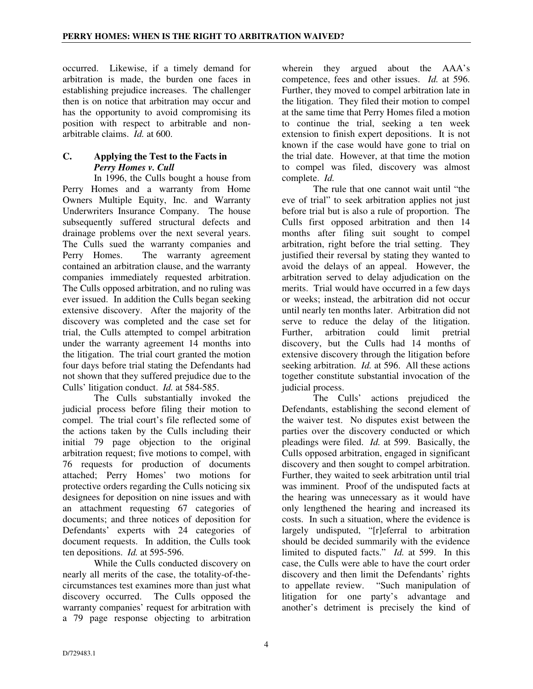occurred. Likewise, if a timely demand for arbitration is made, the burden one faces in establishing prejudice increases. The challenger then is on notice that arbitration may occur and has the opportunity to avoid compromising its position with respect to arbitrable and nonarbitrable claims. *Id.* at 600.

# **C. Applying the Test to the Facts in**  *Perry Homes v. Cull*

In 1996, the Culls bought a house from Perry Homes and a warranty from Home Owners Multiple Equity, Inc. and Warranty Underwriters Insurance Company. The house subsequently suffered structural defects and drainage problems over the next several years. The Culls sued the warranty companies and Perry Homes. The warranty agreement contained an arbitration clause, and the warranty companies immediately requested arbitration. The Culls opposed arbitration, and no ruling was ever issued. In addition the Culls began seeking extensive discovery. After the majority of the discovery was completed and the case set for trial, the Culls attempted to compel arbitration under the warranty agreement 14 months into the litigation. The trial court granted the motion four days before trial stating the Defendants had not shown that they suffered prejudice due to the Culls' litigation conduct. *Id.* at 584-585.

The Culls substantially invoked the judicial process before filing their motion to compel. The trial court's file reflected some of the actions taken by the Culls including their initial 79 page objection to the original arbitration request; five motions to compel, with 76 requests for production of documents attached; Perry Homes' two motions for protective orders regarding the Culls noticing six designees for deposition on nine issues and with an attachment requesting 67 categories of documents; and three notices of deposition for Defendants' experts with 24 categories of document requests. In addition, the Culls took ten depositions. *Id.* at 595-596.

While the Culls conducted discovery on nearly all merits of the case, the totality-of-thecircumstances test examines more than just what discovery occurred. The Culls opposed the warranty companies' request for arbitration with a 79 page response objecting to arbitration

wherein they argued about the AAA's competence, fees and other issues. *Id.* at 596. Further, they moved to compel arbitration late in the litigation. They filed their motion to compel at the same time that Perry Homes filed a motion to continue the trial, seeking a ten week extension to finish expert depositions. It is not known if the case would have gone to trial on the trial date. However, at that time the motion to compel was filed, discovery was almost complete. *Id.* 

The rule that one cannot wait until "the eve of trial" to seek arbitration applies not just before trial but is also a rule of proportion. The Culls first opposed arbitration and then 14 months after filing suit sought to compel arbitration, right before the trial setting. They justified their reversal by stating they wanted to avoid the delays of an appeal. However, the arbitration served to delay adjudication on the merits. Trial would have occurred in a few days or weeks; instead, the arbitration did not occur until nearly ten months later. Arbitration did not serve to reduce the delay of the litigation. Further, arbitration could limit pretrial discovery, but the Culls had 14 months of extensive discovery through the litigation before seeking arbitration. *Id.* at 596. All these actions together constitute substantial invocation of the judicial process.

The Culls' actions prejudiced the Defendants, establishing the second element of the waiver test. No disputes exist between the parties over the discovery conducted or which pleadings were filed. *Id.* at 599. Basically, the Culls opposed arbitration, engaged in significant discovery and then sought to compel arbitration. Further, they waited to seek arbitration until trial was imminent. Proof of the undisputed facts at the hearing was unnecessary as it would have only lengthened the hearing and increased its costs. In such a situation, where the evidence is largely undisputed, "[r]eferral to arbitration should be decided summarily with the evidence limited to disputed facts." *Id.* at 599. In this case, the Culls were able to have the court order discovery and then limit the Defendants' rights to appellate review. "Such manipulation of litigation for one party's advantage and another's detriment is precisely the kind of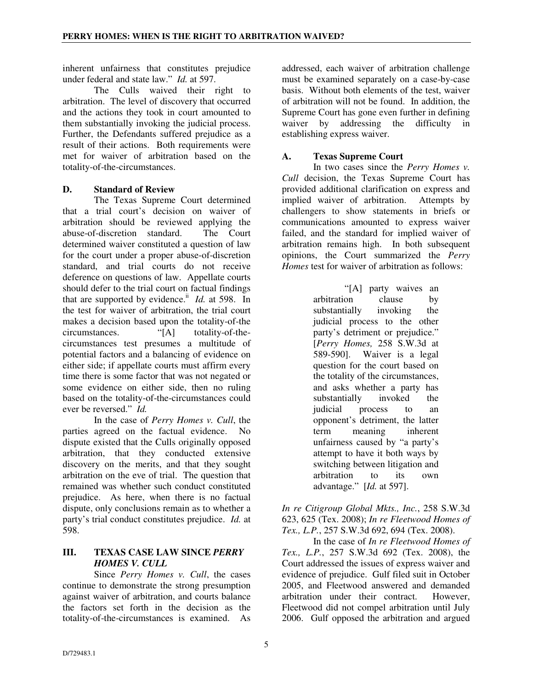inherent unfairness that constitutes prejudice under federal and state law." *Id.* at 597.

The Culls waived their right to arbitration. The level of discovery that occurred and the actions they took in court amounted to them substantially invoking the judicial process. Further, the Defendants suffered prejudice as a result of their actions. Both requirements were met for waiver of arbitration based on the totality-of-the-circumstances.

## **D. Standard of Review**

The Texas Supreme Court determined that a trial court's decision on waiver of arbitration should be reviewed applying the abuse-of-discretion standard. The Court determined waiver constituted a question of law for the court under a proper abuse-of-discretion standard, and trial courts do not receive deference on questions of law. Appellate courts should defer to the trial court on factual findings that are supported by evidence.<sup>ii</sup> *Id.* at 598. In the test for waiver of arbitration, the trial court makes a decision based upon the totality-of-the circumstances. "[A] totality-of-thecircumstances test presumes a multitude of potential factors and a balancing of evidence on either side; if appellate courts must affirm every time there is some factor that was not negated or some evidence on either side, then no ruling based on the totality-of-the-circumstances could ever be reversed." *Id.*

In the case of *Perry Homes v. Cull*, the parties agreed on the factual evidence. No dispute existed that the Culls originally opposed arbitration, that they conducted extensive discovery on the merits, and that they sought arbitration on the eve of trial. The question that remained was whether such conduct constituted prejudice. As here, when there is no factual dispute, only conclusions remain as to whether a party's trial conduct constitutes prejudice. *Id.* at 598.

### **III. TEXAS CASE LAW SINCE** *PERRY HOMES V. CULL*

Since *Perry Homes v. Cull*, the cases continue to demonstrate the strong presumption against waiver of arbitration, and courts balance the factors set forth in the decision as the totality-of-the-circumstances is examined. As

addressed, each waiver of arbitration challenge must be examined separately on a case-by-case basis. Without both elements of the test, waiver of arbitration will not be found. In addition, the Supreme Court has gone even further in defining waiver by addressing the difficulty in establishing express waiver.

## **A. Texas Supreme Court**

In two cases since the *Perry Homes v. Cull* decision, the Texas Supreme Court has provided additional clarification on express and implied waiver of arbitration. Attempts by challengers to show statements in briefs or communications amounted to express waiver failed, and the standard for implied waiver of arbitration remains high. In both subsequent opinions, the Court summarized the *Perry Homes* test for waiver of arbitration as follows:

> "[A] party waives an arbitration clause by<br>substantially invoking the substantially invoking the judicial process to the other party's detriment or prejudice." [*Perry Homes,* 258 S.W.3d at 589-590]. Waiver is a legal question for the court based on the totality of the circumstances, and asks whether a party has substantially invoked the judicial process to an opponent's detriment, the latter term meaning inherent unfairness caused by "a party's attempt to have it both ways by switching between litigation and<br>arbitration to its own arbitration to its own advantage." [*Id.* at 597].

*In re Citigroup Global Mkts., Inc.*, 258 S.W.3d 623, 625 (Tex. 2008); *In re Fleetwood Homes of Tex., L.P.*, 257 S.W.3d 692, 694 (Tex. 2008).

In the case of *In re Fleetwood Homes of Tex., L.P.*, 257 S.W.3d 692 (Tex. 2008), the Court addressed the issues of express waiver and evidence of prejudice. Gulf filed suit in October 2005, and Fleetwood answered and demanded arbitration under their contract. However, Fleetwood did not compel arbitration until July 2006. Gulf opposed the arbitration and argued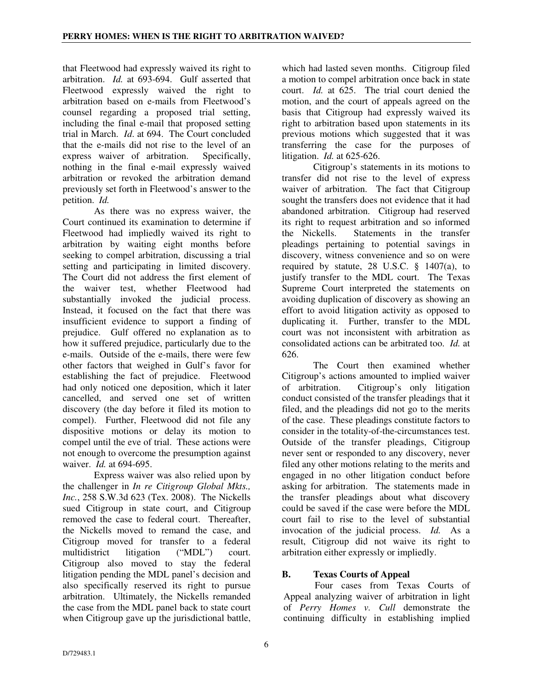that Fleetwood had expressly waived its right to arbitration. *Id.* at 693-694. Gulf asserted that Fleetwood expressly waived the right to arbitration based on e-mails from Fleetwood's counsel regarding a proposed trial setting, including the final e-mail that proposed setting trial in March. *Id*. at 694. The Court concluded that the e-mails did not rise to the level of an express waiver of arbitration. Specifically, nothing in the final e-mail expressly waived arbitration or revoked the arbitration demand previously set forth in Fleetwood's answer to the petition. *Id.*

As there was no express waiver, the Court continued its examination to determine if Fleetwood had impliedly waived its right to arbitration by waiting eight months before seeking to compel arbitration, discussing a trial setting and participating in limited discovery. The Court did not address the first element of the waiver test, whether Fleetwood had substantially invoked the judicial process. Instead, it focused on the fact that there was insufficient evidence to support a finding of prejudice. Gulf offered no explanation as to how it suffered prejudice, particularly due to the e-mails. Outside of the e-mails, there were few other factors that weighed in Gulf's favor for establishing the fact of prejudice. Fleetwood had only noticed one deposition, which it later cancelled, and served one set of written discovery (the day before it filed its motion to compel). Further, Fleetwood did not file any dispositive motions or delay its motion to compel until the eve of trial. These actions were not enough to overcome the presumption against waiver. *Id.* at 694-695.

Express waiver was also relied upon by the challenger in *In re Citigroup Global Mkts., Inc.*, 258 S.W.3d 623 (Tex. 2008). The Nickells sued Citigroup in state court, and Citigroup removed the case to federal court. Thereafter, the Nickells moved to remand the case, and Citigroup moved for transfer to a federal multidistrict litigation ("MDL") court. Citigroup also moved to stay the federal litigation pending the MDL panel's decision and also specifically reserved its right to pursue arbitration. Ultimately, the Nickells remanded the case from the MDL panel back to state court when Citigroup gave up the jurisdictional battle,

which had lasted seven months. Citigroup filed a motion to compel arbitration once back in state court. *Id.* at 625. The trial court denied the motion, and the court of appeals agreed on the basis that Citigroup had expressly waived its right to arbitration based upon statements in its previous motions which suggested that it was transferring the case for the purposes of litigation. *Id.* at 625-626.

Citigroup's statements in its motions to transfer did not rise to the level of express waiver of arbitration. The fact that Citigroup sought the transfers does not evidence that it had abandoned arbitration. Citigroup had reserved its right to request arbitration and so informed the Nickells. Statements in the transfer pleadings pertaining to potential savings in discovery, witness convenience and so on were required by statute, 28 U.S.C.  $\S$  1407(a), to justify transfer to the MDL court. The Texas Supreme Court interpreted the statements on avoiding duplication of discovery as showing an effort to avoid litigation activity as opposed to duplicating it. Further, transfer to the MDL court was not inconsistent with arbitration as consolidated actions can be arbitrated too. *Id.* at 626.

The Court then examined whether Citigroup's actions amounted to implied waiver of arbitration. Citigroup's only litigation conduct consisted of the transfer pleadings that it filed, and the pleadings did not go to the merits of the case. These pleadings constitute factors to consider in the totality-of-the-circumstances test. Outside of the transfer pleadings, Citigroup never sent or responded to any discovery, never filed any other motions relating to the merits and engaged in no other litigation conduct before asking for arbitration. The statements made in the transfer pleadings about what discovery could be saved if the case were before the MDL court fail to rise to the level of substantial invocation of the judicial process. *Id.* As a result, Citigroup did not waive its right to arbitration either expressly or impliedly.

# **B. Texas Courts of Appeal**

Four cases from Texas Courts of Appeal analyzing waiver of arbitration in light of *Perry Homes v. Cull* demonstrate the continuing difficulty in establishing implied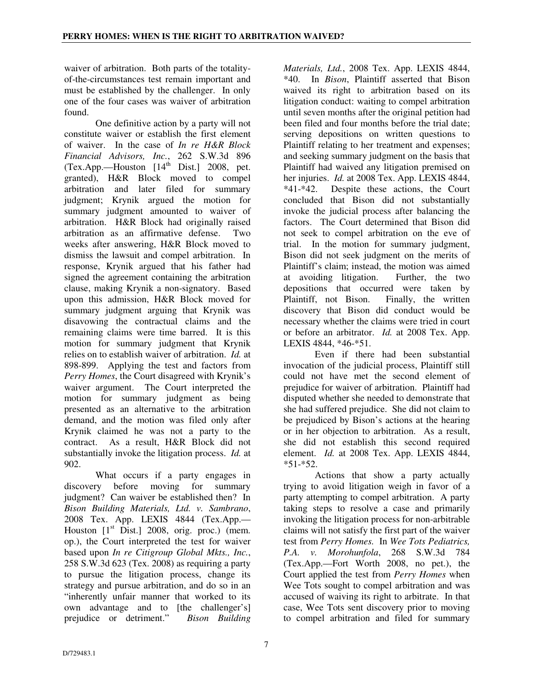waiver of arbitration. Both parts of the totalityof-the-circumstances test remain important and must be established by the challenger. In only one of the four cases was waiver of arbitration found.

One definitive action by a party will not constitute waiver or establish the first element of waiver. In the case of *In re H&R Block Financial Advisors, Inc.*, 262 S.W.3d 896  $(Tex. App. - Houston [14<sup>th</sup> Dist.]$  2008, pet. granted), H&R Block moved to compel arbitration and later filed for summary judgment; Krynik argued the motion for summary judgment amounted to waiver of arbitration. H&R Block had originally raised arbitration as an affirmative defense. Two weeks after answering, H&R Block moved to dismiss the lawsuit and compel arbitration. In response, Krynik argued that his father had signed the agreement containing the arbitration clause, making Krynik a non-signatory. Based upon this admission, H&R Block moved for summary judgment arguing that Krynik was disavowing the contractual claims and the remaining claims were time barred. It is this motion for summary judgment that Krynik relies on to establish waiver of arbitration. *Id.* at 898-899. Applying the test and factors from *Perry Homes*, the Court disagreed with Krynik's waiver argument. The Court interpreted the motion for summary judgment as being presented as an alternative to the arbitration demand, and the motion was filed only after Krynik claimed he was not a party to the contract. As a result, H&R Block did not substantially invoke the litigation process. *Id.* at 902.

What occurs if a party engages in discovery before moving for summary judgment? Can waiver be established then? In *Bison Building Materials, Ltd. v. Sambrano*, 2008 Tex. App. LEXIS 4844 (Tex.App.— Houston  $[1<sup>st</sup> Dist.]$  2008, orig. proc.) (mem. op.), the Court interpreted the test for waiver based upon *In re Citigroup Global Mkts., Inc.*, 258 S.W.3d 623 (Tex. 2008) as requiring a party to pursue the litigation process, change its strategy and pursue arbitration, and do so in an "inherently unfair manner that worked to its own advantage and to [the challenger's] prejudice or detriment." *Bison Building* 

*Materials, Ltd.*, 2008 Tex. App. LEXIS 4844, \*40. In *Bison*, Plaintiff asserted that Bison waived its right to arbitration based on its litigation conduct: waiting to compel arbitration until seven months after the original petition had been filed and four months before the trial date; serving depositions on written questions to Plaintiff relating to her treatment and expenses; and seeking summary judgment on the basis that Plaintiff had waived any litigation premised on her injuries. *Id.* at 2008 Tex. App. LEXIS 4844, \*41-\*42. Despite these actions, the Court concluded that Bison did not substantially invoke the judicial process after balancing the factors. The Court determined that Bison did not seek to compel arbitration on the eve of trial. In the motion for summary judgment, Bison did not seek judgment on the merits of Plaintiff's claim; instead, the motion was aimed at avoiding litigation. Further, the two depositions that occurred were taken by Plaintiff, not Bison. Finally, the written discovery that Bison did conduct would be necessary whether the claims were tried in court or before an arbitrator. *Id.* at 2008 Tex. App. LEXIS 4844, \*46-\*51.

Even if there had been substantial invocation of the judicial process, Plaintiff still could not have met the second element of prejudice for waiver of arbitration. Plaintiff had disputed whether she needed to demonstrate that she had suffered prejudice. She did not claim to be prejudiced by Bison's actions at the hearing or in her objection to arbitration. As a result, she did not establish this second required element. *Id.* at 2008 Tex. App. LEXIS 4844,  $*51-*52$ .

Actions that show a party actually trying to avoid litigation weigh in favor of a party attempting to compel arbitration. A party taking steps to resolve a case and primarily invoking the litigation process for non-arbitrable claims will not satisfy the first part of the waiver test from *Perry Homes.* In *Wee Tots Pediatrics, P.A. v. Morohunfola*, 268 S.W.3d 784 (Tex.App.—Fort Worth 2008, no pet.), the Court applied the test from *Perry Homes* when Wee Tots sought to compel arbitration and was accused of waiving its right to arbitrate. In that case, Wee Tots sent discovery prior to moving to compel arbitration and filed for summary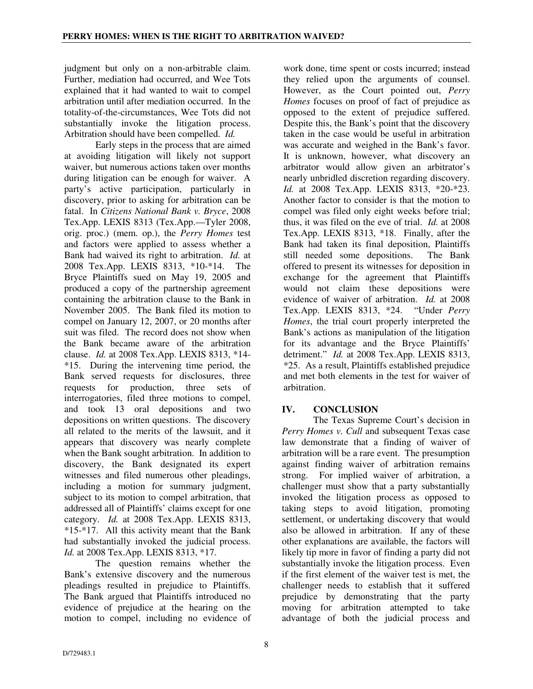judgment but only on a non-arbitrable claim. Further, mediation had occurred, and Wee Tots explained that it had wanted to wait to compel arbitration until after mediation occurred. In the totality-of-the-circumstances, Wee Tots did not substantially invoke the litigation process. Arbitration should have been compelled. *Id.*

Early steps in the process that are aimed at avoiding litigation will likely not support waiver, but numerous actions taken over months during litigation can be enough for waiver. A party's active participation, particularly in discovery, prior to asking for arbitration can be fatal. In *Citizens National Bank v. Bryce*, 2008 Tex.App. LEXIS 8313 (Tex.App.—Tyler 2008, orig. proc.) (mem. op.), the *Perry Homes* test and factors were applied to assess whether a Bank had waived its right to arbitration. *Id.* at 2008 Tex.App. LEXIS 8313, \*10-\*14. The Bryce Plaintiffs sued on May 19, 2005 and produced a copy of the partnership agreement containing the arbitration clause to the Bank in November 2005. The Bank filed its motion to compel on January 12, 2007, or 20 months after suit was filed. The record does not show when the Bank became aware of the arbitration clause. *Id.* at 2008 Tex.App. LEXIS 8313, \*14- \*15. During the intervening time period, the Bank served requests for disclosures, three requests for production, three sets of interrogatories, filed three motions to compel, and took 13 oral depositions and two depositions on written questions. The discovery all related to the merits of the lawsuit, and it appears that discovery was nearly complete when the Bank sought arbitration. In addition to discovery, the Bank designated its expert witnesses and filed numerous other pleadings, including a motion for summary judgment, subject to its motion to compel arbitration, that addressed all of Plaintiffs' claims except for one category. *Id.* at 2008 Tex.App. LEXIS 8313, \*15-\*17. All this activity meant that the Bank had substantially invoked the judicial process. *Id.* at 2008 Tex.App. LEXIS 8313, \*17.

The question remains whether the Bank's extensive discovery and the numerous pleadings resulted in prejudice to Plaintiffs. The Bank argued that Plaintiffs introduced no evidence of prejudice at the hearing on the motion to compel, including no evidence of

work done, time spent or costs incurred; instead they relied upon the arguments of counsel. However, as the Court pointed out, *Perry Homes* focuses on proof of fact of prejudice as opposed to the extent of prejudice suffered. Despite this, the Bank's point that the discovery taken in the case would be useful in arbitration was accurate and weighed in the Bank's favor. It is unknown, however, what discovery an arbitrator would allow given an arbitrator's nearly unbridled discretion regarding discovery. *Id.* at 2008 Tex.App. LEXIS 8313, \*20-\*23. Another factor to consider is that the motion to compel was filed only eight weeks before trial; thus, it was filed on the eve of trial. *Id.* at 2008 Tex.App. LEXIS 8313, \*18. Finally, after the Bank had taken its final deposition, Plaintiffs still needed some depositions. The Bank offered to present its witnesses for deposition in exchange for the agreement that Plaintiffs would not claim these depositions were evidence of waiver of arbitration. *Id.* at 2008 Tex.App. LEXIS 8313, \*24. "Under *Perry Homes*, the trial court properly interpreted the Bank's actions as manipulation of the litigation for its advantage and the Bryce Plaintiffs' detriment." *Id.* at 2008 Tex.App. LEXIS 8313, \*25. As a result, Plaintiffs established prejudice and met both elements in the test for waiver of arbitration.

# **IV. CONCLUSION**

The Texas Supreme Court's decision in *Perry Homes v. Cull* and subsequent Texas case law demonstrate that a finding of waiver of arbitration will be a rare event. The presumption against finding waiver of arbitration remains strong. For implied waiver of arbitration, a challenger must show that a party substantially invoked the litigation process as opposed to taking steps to avoid litigation, promoting settlement, or undertaking discovery that would also be allowed in arbitration. If any of these other explanations are available, the factors will likely tip more in favor of finding a party did not substantially invoke the litigation process. Even if the first element of the waiver test is met, the challenger needs to establish that it suffered prejudice by demonstrating that the party moving for arbitration attempted to take advantage of both the judicial process and